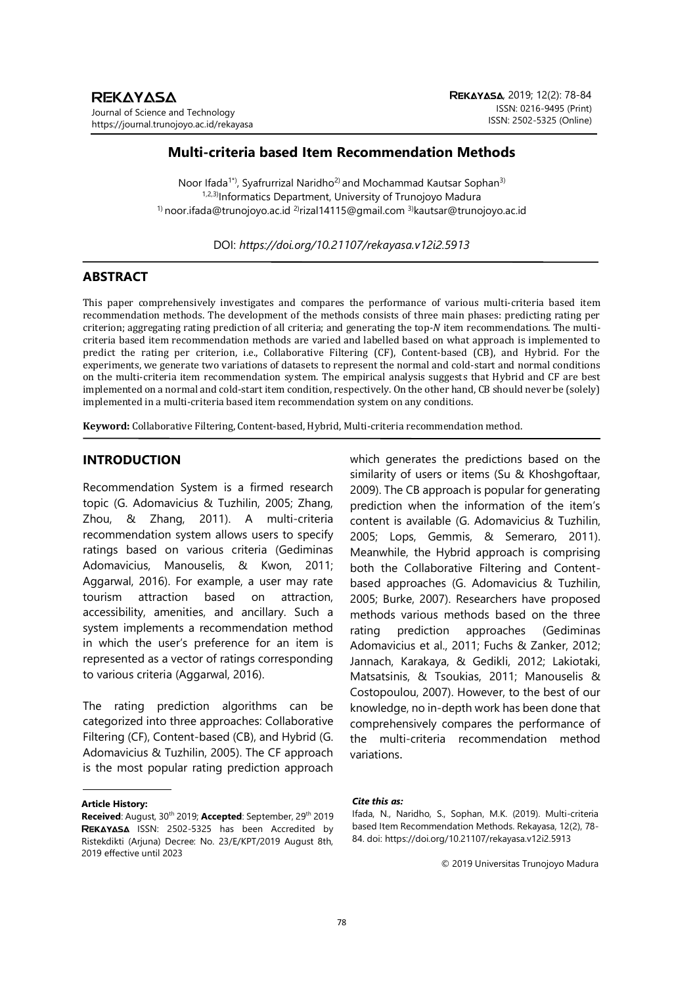# **Multi-criteria based Item Recommendation Methods**

Noor Ifada<sup>1\*</sup>), Syafrurrizal Naridho<sup>2)</sup> and Mochammad Kautsar Sophan<sup>3)</sup> 1,2,3) Informatics Department, University of Trunojoyo Madura <sup>1)</sup> noor.ifada@trunojoyo.ac.id <sup>2</sup>)rizal14115@gmail.com <sup>3)</sup>kautsar@trunojoyo.ac.id

DOI: *https://doi.org/10.21107/rekayasa.v12i2.5913*

# **ABSTRACT**

This paper comprehensively investigates and compares the performance of various multi-criteria based item recommendation methods. The development of the methods consists of three main phases: predicting rating per criterion; aggregating rating prediction of all criteria; and generating the top- $N$  item recommendations. The multicriteria based item recommendation methods are varied and labelled based on what approach is implemented to predict the rating per criterion, i.e., Collaborative Filtering (CF), Content-based (CB), and Hybrid. For the experiments, we generate two variations of datasets to represent the normal and cold-start and normal conditions on the multi-criteria item recommendation system. The empirical analysis suggests that Hybrid and CF are best implemented on a normal and cold-start item condition, respectively. On the other hand, CB should never be (solely) implemented in a multi-criteria based item recommendation system on any conditions.

**Keyword:** Collaborative Filtering, Content-based, Hybrid, Multi-criteria recommendation method.

# **INTRODUCTION**

Recommendation System is a firmed research topic (G. Adomavicius & Tuzhilin, 2005; Zhang, Zhou, & Zhang, 2011). A multi-criteria recommendation system allows users to specify ratings based on various criteria (Gediminas Adomavicius, Manouselis, & Kwon, 2011; Aggarwal, 2016). For example, a user may rate tourism attraction based on attraction, accessibility, amenities, and ancillary. Such a system implements a recommendation method in which the user's preference for an item is represented as a vector of ratings corresponding to various criteria (Aggarwal, 2016).

The rating prediction algorithms can be categorized into three approaches: Collaborative Filtering (CF), Content-based (CB), and Hybrid (G. Adomavicius & Tuzhilin, 2005). The CF approach is the most popular rating prediction approach

#### **Article History:**

which generates the predictions based on the similarity of users or items (Su & Khoshgoftaar, 2009). The CB approach is popular for generating prediction when the information of the item's content is available (G. Adomavicius & Tuzhilin, 2005; Lops, Gemmis, & Semeraro, 2011). Meanwhile, the Hybrid approach is comprising both the Collaborative Filtering and Contentbased approaches (G. Adomavicius & Tuzhilin, 2005; Burke, 2007). Researchers have proposed methods various methods based on the three rating prediction approaches (Gediminas Adomavicius et al., 2011; Fuchs & Zanker, 2012; Jannach, Karakaya, & Gedikli, 2012; Lakiotaki, Matsatsinis, & Tsoukias, 2011; Manouselis & Costopoulou, 2007). However, to the best of our knowledge, no in-depth work has been done that comprehensively compares the performance of the multi-criteria recommendation method variations.

#### *Cite this as:*

© 2019 Universitas Trunojoyo Madura

**Received**: August, 30th 2019; **Accepted**: September, 29th 2019 REKAYASA ISSN: 2502-5325 has been Accredited by Ristekdikti (Arjuna) Decree: No. 23/E/KPT/2019 August 8th, 2019 effective until 2023

Ifada, N., Naridho, S., Sophan, M.K. (2019). Multi-criteria based Item Recommendation Methods. Rekayasa, 12(2), 78- 84. doi: https://doi.org/10.21107/rekayasa.v12i2.5913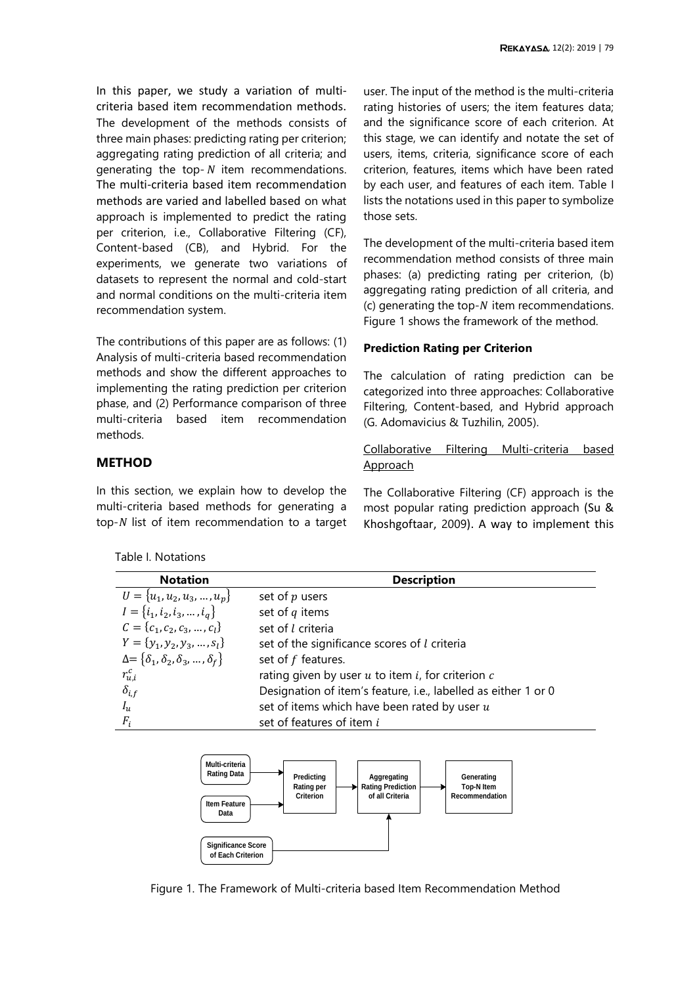In this paper, we study a variation of multicriteria based item recommendation methods. The development of the methods consists of three main phases: predicting rating per criterion; aggregating rating prediction of all criteria; and generating the top- $N$  item recommendations. The multi-criteria based item recommendation methods are varied and labelled based on what approach is implemented to predict the rating per criterion, i.e., Collaborative Filtering (CF), Content-based (CB), and Hybrid. For the experiments, we generate two variations of datasets to represent the normal and cold-start and normal conditions on the multi-criteria item recommendation system.

The contributions of this paper are as follows: (1) Analysis of multi-criteria based recommendation methods and show the different approaches to implementing the rating prediction per criterion phase, and (2) Performance comparison of three multi-criteria based item recommendation methods.

## **METHOD**

In this section, we explain how to develop the multi-criteria based methods for generating a top- $N$  list of item recommendation to a target

<span id="page-1-0"></span>Table I. Notations

user. The input of the method is the multi-criteria rating histories of users; the item features data; and the significance score of each criterion. At this stage, we can identify and notate the set of users, items, criteria, significance score of each criterion, features, items which have been rated by each user, and features of each item. [Table I](#page-1-0) lists the notations used in this paper to symbolize those sets.

The development of the multi-criteria based item recommendation method consists of three main phases: (a) predicting rating per criterion, (b) aggregating rating prediction of all criteria, and (c) generating the top- $N$  item recommendations. [Figure 1](#page-1-1) shows the framework of the method.

## **Prediction Rating per Criterion**

The calculation of rating prediction can be categorized into three approaches: Collaborative Filtering, Content-based, and Hybrid approach (G. Adomavicius & Tuzhilin, 2005).

Collaborative Filtering Multi-criteria based **Approach** 

The Collaborative Filtering (CF) approach is the most popular rating prediction approach (Su & Khoshgoftaar, 2009). A way to implement this

| <b>Notation</b>                                         | <b>Description</b>                                             |
|---------------------------------------------------------|----------------------------------------------------------------|
| $U = \{u_1, u_2, u_3, , u_p\}$                          | set of $p$ users                                               |
| $I = \{i_1, i_2, i_3, , i_a\}$                          | set of $q$ items                                               |
| $C = \{c_1, c_2, c_3, , c_l\}$                          | set of l criteria                                              |
| $Y = \{y_1, y_2, y_3, , s_l\}$                          | set of the significance scores of $l$ criteria                 |
| $\Delta = \{\delta_1, \delta_2, \delta_3, , \delta_f\}$ | set of $f$ features.                                           |
| $r_{u,i}^c$                                             | rating given by user $u$ to item $i$ , for criterion $c$       |
| $\delta_{i,f}$                                          | Designation of item's feature, i.e., labelled as either 1 or 0 |
| $I_u$                                                   | set of items which have been rated by user $u$                 |
| $F_i$                                                   | set of features of item i                                      |



<span id="page-1-1"></span>Figure 1. The Framework of Multi-criteria based Item Recommendation Method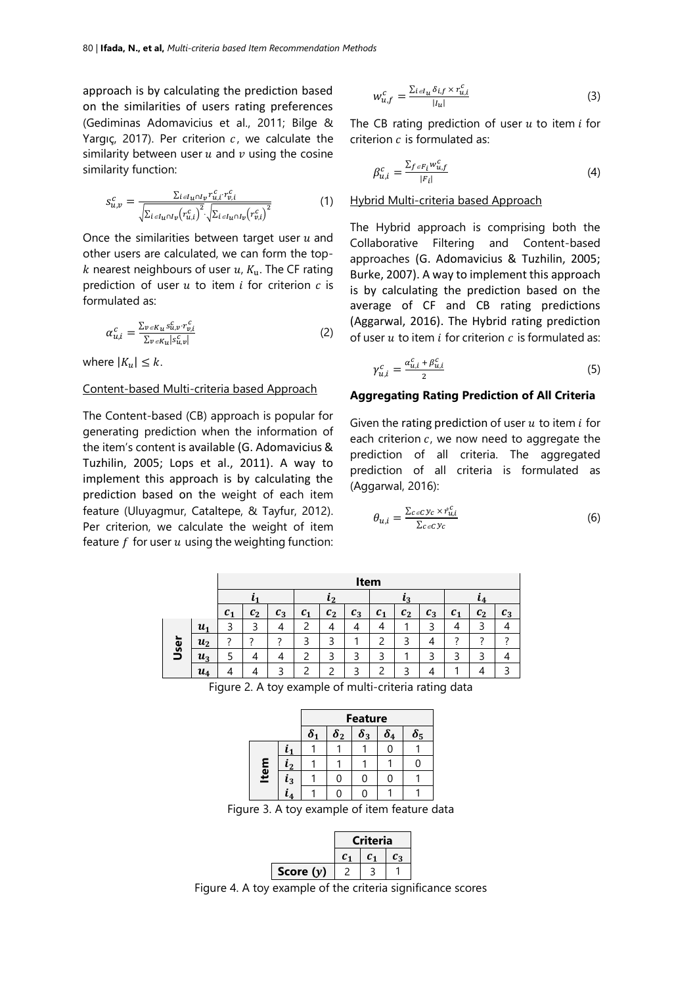approach is by calculating the prediction based on the similarities of users rating preferences (Gediminas Adomavicius et al., 2011; Bilge & Yargıç, 2017). Per criterion  $c$ , we calculate the similarity between user  $u$  and  $v$  using the cosine similarity function:

$$
s_{u,v}^c = \frac{\sum_{i \in I_u \cap I_v} r_{u,i}^c r_{v,i}^c}{\sqrt{\sum_{i \in I_u \cap I_v} (r_{u,i}^c)^2} \cdot \sqrt{\sum_{i \in I_u \cap I_v} (r_{v,i}^c)^2}}
$$
(1)

Once the similarities between target user  $u$  and other users are calculated, we can form the top k nearest neighbours of user  $u$ ,  $K_u$ . The CF rating prediction of user  $u$  to item  $i$  for criterion  $c$  is formulated as:

$$
\alpha_{u,i}^c = \frac{\sum_{v \in K_u} s_{u,v}^c \cdot r_{v,i}^c}{\sum_{v \in K_u} |s_{u,v}^c|} \tag{2}
$$

where  $|K_u| \leq k$ .

## Content-based Multi-criteria based Approach

The Content-based (CB) approach is popular for generating prediction when the information of the item's content is available (G. Adomavicius & Tuzhilin, 2005; Lops et al., 2011). A way to implement this approach is by calculating the prediction based on the weight of each item feature (Uluyagmur, Cataltepe, & Tayfur, 2012). Per criterion, we calculate the weight of item feature  $f$  for user  $u$  using the weighting function:

$$
w_{u,f}^c = \frac{\sum_{i \in I_u} \delta_{i,f} \times r_{u,i}^c}{|I_u|} \tag{3}
$$

The CB rating prediction of user  $u$  to item  $i$  for criterion  $c$  is formulated as:

$$
\beta_{u,i}^c = \frac{\sum_{f \in F_i} w_{u,f}^c}{|F_i|} \tag{4}
$$

### Hybrid Multi-criteria based Approach

The Hybrid approach is comprising both the Collaborative Filtering and Content-based approaches (G. Adomavicius & Tuzhilin, 2005; Burke, 2007). A way to implement this approach is by calculating the prediction based on the average of CF and CB rating predictions (Aggarwal, 2016). The Hybrid rating prediction of user  $u$  to item  $i$  for criterion  $c$  is formulated as:

$$
\gamma_{u,i}^c = \frac{\alpha_{u,i}^c + \beta_{u,i}^c}{2} \tag{5}
$$

### **Aggregating Rating Prediction of All Criteria**

Given the rating prediction of user  $u$  to item  $i$  for each criterion  $c$ , we now need to aggregate the prediction of all criteria. The aggregated prediction of all criteria is formulated as (Aggarwal, 2016):

$$
\theta_{u,i} = \frac{\sum_{c \in C} y_c \times \hat{r}_{u,i}^c}{\sum_{c \in C} y_c} \tag{6}
$$

| ι4<br>$c_{2}$<br>$c_3$ |
|------------------------|
|                        |
|                        |
|                        |
|                        |
|                        |
|                        |
| ∍                      |

<span id="page-2-0"></span>Figure 2. A toy example of multi-criteria rating data

|      |                        | <b>Feature</b> |            |            |            |            |
|------|------------------------|----------------|------------|------------|------------|------------|
|      |                        | $\delta_1$     | $\delta_2$ | $\delta_3$ | $\delta_4$ | $\delta_5$ |
|      |                        |                |            |            |            |            |
| Item | $\boldsymbol{\iota}_2$ |                |            |            |            |            |
|      | $l_3$                  |                |            |            |            |            |
|      |                        |                |            |            |            |            |

Figure 3. A toy example of item feature data



<span id="page-2-2"></span><span id="page-2-1"></span>Figure 4. A toy example of the criteria significance scores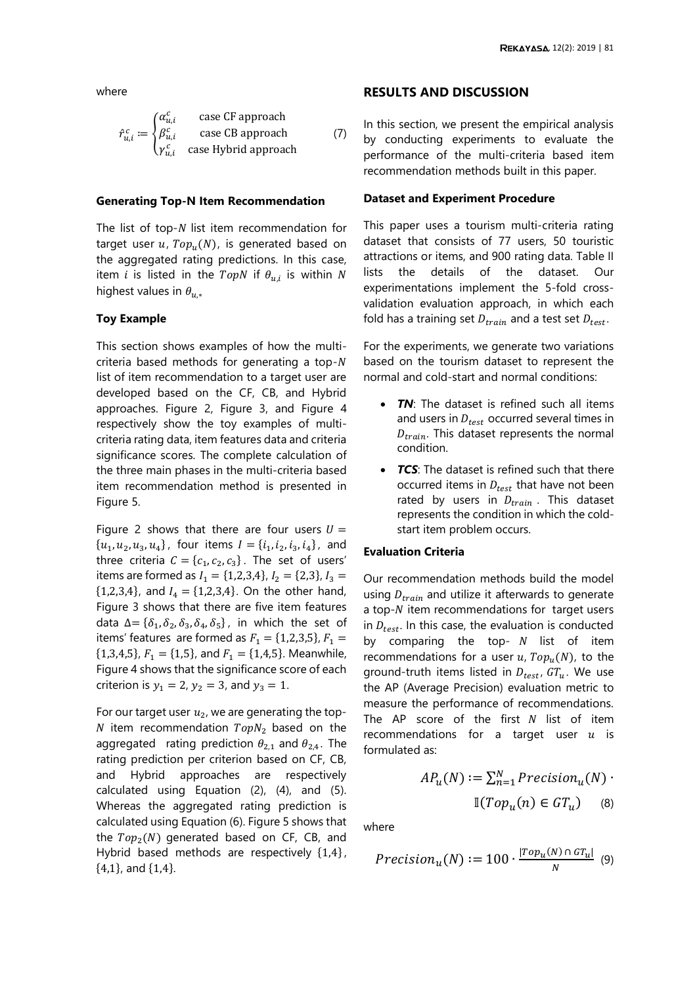where

$$
\hat{r}_{u,i}^c := \begin{cases} \alpha_{u,i}^c & \text{case CF approach} \\ \beta_{u,i}^c & \text{case CB approach} \\ \gamma_{u,i}^c & \text{case Hybrid approach} \end{cases}
$$
 (7)

#### **Generating Top-N Item Recommendation**

The list of top- $N$  list item recommendation for target user  $u$ ,  $Top_u(N)$ , is generated based on the aggregated rating predictions. In this case, item  $i$  is listed in the  $TopN$  if  $\theta_{u,i}$  is within  $N$ highest values in  $\theta_{u,*}$ 

## **Toy Example**

This section shows examples of how the multicriteria based methods for generating a top- $N$ list of item recommendation to a target user are developed based on the CF, CB, and Hybrid approaches. [Figure 2,](#page-2-0) [Figure 3,](#page-2-1) and [Figure 4](#page-2-2) respectively show the toy examples of multicriteria rating data, item features data and criteria significance scores. The complete calculation of the three main phases in the multi-criteria based item recommendation method is presented in [Figure 5.](#page-4-0)

[Figure 2](#page-2-0) shows that there are four users  $U =$  $\{u_1, u_2, u_3, u_4\}$ , four items  $I = \{i_1, i_2, i_3, i_4\}$ , and three criteria  $C = \{c_1, c_2, c_3\}$ . The set of users' items are formed as  $I_1 = \{1,2,3,4\}$ ,  $I_2 = \{2,3\}$ ,  $I_3 =$  ${1,2,3,4}$ , and  $I_4 = {1,2,3,4}$ . On the other hand, [Figure 3](#page-2-1) shows that there are five item features data  $\Delta = {\delta_1, \delta_2, \delta_3, \delta_4, \delta_5}$ , in which the set of items' features are formed as  $F_1 = \{1,2,3,5\}$ ,  $F_1 =$  ${1,3,4,5}$ ,  $F_1 = {1,5}$ , and  $F_1 = {1,4,5}$ . Meanwhile, [Figure 4](#page-2-2) shows that the significance score of each criterion is  $y_1 = 2$ ,  $y_2 = 3$ , and  $y_3 = 1$ .

For our target user  $u_2$ , we are generating the top-N item recommendation  $TopN<sub>2</sub>$  based on the aggregated rating prediction  $\theta_{2,1}$  and  $\theta_{2,4}$ . The rating prediction per criterion based on CF, CB, and Hybrid approaches are respectively calculated using Equation (2), (4), and (5). Whereas the aggregated rating prediction is calculated using Equation (6). [Figure 5](#page-4-0) shows that the  $Top<sub>2</sub>(N)$  generated based on CF, CB, and Hybrid based methods are respectively {1,4}, {4,1}, and {1,4}.

### **RESULTS AND DISCUSSION**

In this section, we present the empirical analysis by conducting experiments to evaluate the performance of the multi-criteria based item recommendation methods built in this paper.

### **Dataset and Experiment Procedure**

This paper uses a tourism multi-criteria rating dataset that consists of 77 users, 50 touristic attractions or items, and 900 rating data. [Table II](#page-5-0) lists the details of the dataset. Our experimentations implement the 5-fold crossvalidation evaluation approach, in which each fold has a training set  $D_{train}$  and a test set  $D_{test}$ .

For the experiments, we generate two variations based on the tourism dataset to represent the normal and cold-start and normal conditions:

- **TN**: The dataset is refined such all items and users in  $D_{test}$  occurred several times in  $D_{train}$ . This dataset represents the normal condition.
- *TCS*: The dataset is refined such that there occurred items in  $D_{test}$  that have not been rated by users in  $D_{train}$ . This dataset represents the condition in which the coldstart item problem occurs.

### **Evaluation Criteria**

Our recommendation methods build the model using  $D_{train}$  and utilize it afterwards to generate a top- $N$  item recommendations for target users in  $D_{test}$ . In this case, the evaluation is conducted by comparing the top-  $N$  list of item recommendations for a user  $u$ ,  $Top_u(N)$ , to the ground-truth items listed in  $D_{test}$ ,  $GT_u$ . We use the AP (Average Precision) evaluation metric to measure the performance of recommendations. The AP score of the first  $N$  list of item recommendations for a target user  $u$  is formulated as:

$$
AP_u(N) := \sum_{n=1}^{N} Precision_u(N) \cdot \mathbb{I}(Top_u(n) \in GT_u) \quad (8)
$$

where

$$
Precision_u(N) := 100 \cdot \frac{|Top_u(N) \cap GT_u|}{N} \tag{9}
$$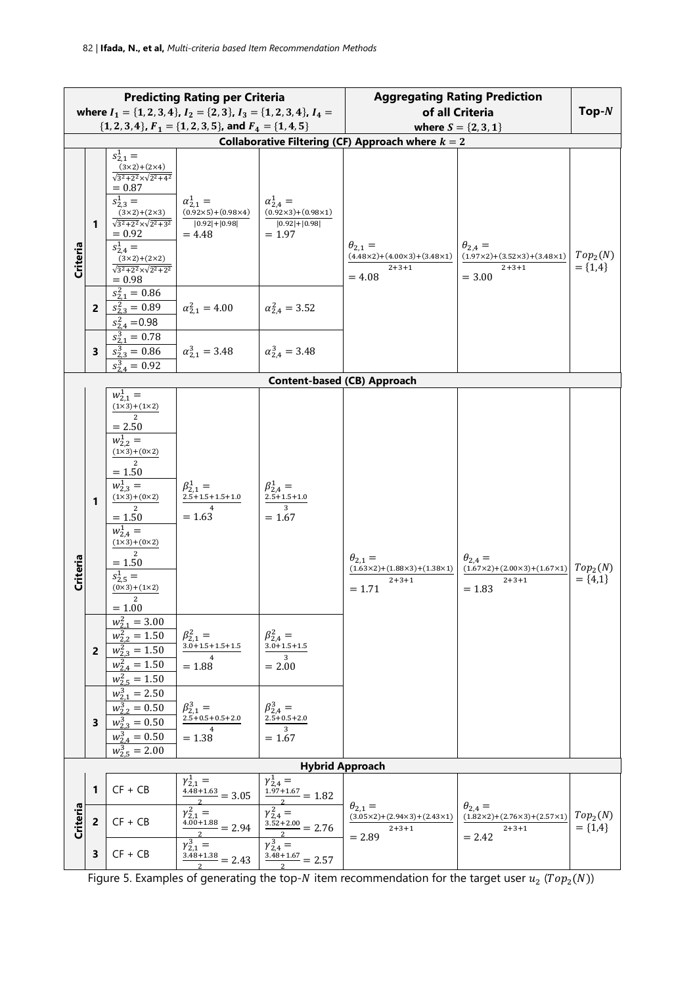| <b>Predicting Rating per Criteria</b>                                              |   |                                                                                                                                                                                                                                                                      | <b>Aggregating Rating Prediction</b>                                                     |                                                                                        |                                                                                                      |                                                                                                    |                                     |
|------------------------------------------------------------------------------------|---|----------------------------------------------------------------------------------------------------------------------------------------------------------------------------------------------------------------------------------------------------------------------|------------------------------------------------------------------------------------------|----------------------------------------------------------------------------------------|------------------------------------------------------------------------------------------------------|----------------------------------------------------------------------------------------------------|-------------------------------------|
| where $I_1 = \{1, 2, 3, 4\}$ , $I_2 = \{2, 3\}$ , $I_3 = \{1, 2, 3, 4\}$ , $I_4 =$ |   |                                                                                                                                                                                                                                                                      |                                                                                          |                                                                                        | of all Criteria                                                                                      | $Top-N$                                                                                            |                                     |
|                                                                                    |   |                                                                                                                                                                                                                                                                      | $\{1, 2, 3, 4\}$ , $F_1 = \{1, 2, 3, 5\}$ , and $F_4 = \{1, 4, 5\}$                      |                                                                                        | where $S = \{2, 3, 1\}$                                                                              |                                                                                                    |                                     |
| Collaborative Filtering (CF) Approach where $k = 2$                                |   |                                                                                                                                                                                                                                                                      |                                                                                          |                                                                                        |                                                                                                      |                                                                                                    |                                     |
| Criteria                                                                           | 1 | $s_{2,1}^1 =$<br>$(3x2)+(2x4)$<br>$\sqrt{3^2+2^2} \times \sqrt{2^2+4^2}$<br>$= 0.87$<br>$s_{2,3}^1 =$<br>$(3x2)+(2x3)$<br>$\sqrt{3^2+2^2} \times \sqrt{2^2+3^2}$<br>$= 0.92$<br>$s_{2,4}^1 =$<br>$(3x2)+(2x2)$<br>$\sqrt{3^2+2^2} \times \sqrt{2^2+2^2}$<br>$= 0.98$ | $\alpha_{2.1}^1 =$<br>$(0.92 \times 5) + (0.98 \times 4)$<br>$ 0.92 + 0.98 $<br>$= 4.48$ | $\alpha_{2.4}^{1} =$<br>$(0.92\times3)+(0.98\times1)$<br>$ 0.92  +  0.98 $<br>$= 1.97$ | $\theta_{2,1} =$<br>$(4.48\times2)+(4.00\times3)+(3.48\times1)$<br>$2 + 3 + 1$<br>$= 4.08$           | $\theta_{2,4} =$<br>$(1.97\times2)$ + $(3.52\times3)$ + $(3.48\times1)$<br>$2 + 3 + 1$<br>$= 3.00$ | Top <sub>2</sub> (N)<br>$= \{1,4\}$ |
|                                                                                    | 2 | $s_{2.1}^2 = 0.86$<br>$s_{2,3}^2 = 0.89$<br>$s_{2.4}^2$ = 0.98                                                                                                                                                                                                       | $\alpha_{2.1}^2 = 4.00$                                                                  | $\alpha_{2.4}^2 = 3.52$                                                                |                                                                                                      |                                                                                                    |                                     |
|                                                                                    | 3 | $s_{2.1}^3 = 0.78$<br>$s_{2,3}^3 = 0.86$<br>$s_{24}^3 = 0.92$                                                                                                                                                                                                        | $\alpha_{2.1}^3 = 3.48$                                                                  | $\alpha_{2.4}^3 = 3.48$                                                                |                                                                                                      |                                                                                                    |                                     |
|                                                                                    |   |                                                                                                                                                                                                                                                                      |                                                                                          |                                                                                        | <b>Content-based (CB) Approach</b>                                                                   |                                                                                                    |                                     |
| Criteria                                                                           | 1 | $w_{2,1}^1 =$<br>$(1x3)+(1x2)$<br>$\overline{2}$<br>$= 2.50$<br>$w_{2,2}^1 =$<br>$(1x3)+(0x2)$<br>$= 1.50$<br>$w_{2,3}^1 =$<br>$(1 \times 3) + (0 \times 2)$<br>$= 1.50$<br>$w_{2.4}^1 =$<br>$(1x3)+(0x2)$<br>$= 1.50$<br>$s_{2,5}^1 =$<br>$(0x3)+(1x2)$<br>$= 1.00$ | $\beta_{2,1}^{1} =$<br>$2.5 + 1.5 + 1.5 + 1.0$<br>$\overline{4}$<br>$= 1.63$             | $\beta_{2.4}^1 =$<br>$2.5 + 1.5 + 1.0$<br>$\overline{3}$<br>$= 1.67$                   | $\theta_{2.1} =$<br>$(1.63 \times 2) + (1.88 \times 3) + (1.38 \times 1)$<br>$2 + 3 + 1$<br>$= 1.71$ | $\theta_{2.4} =$<br>$(1.67\times2) + (2.00\times3) + (1.67\times1)$<br>$2 + 3 + 1$<br>$= 1.83$     | Top <sub>2</sub> (N)<br>$= \{4,1\}$ |
|                                                                                    | 2 | $w_{2,1}^2 = 3.00$<br>$w_{2,2}^2 = 1.50$<br>$w_{2,3}^2 = 1.50$<br>$w_{2,4}^2 = 1.50$<br>$w_{2.5}^2 = 1.50$                                                                                                                                                           | $\begin{array}{l} \beta_{2,1}^2 = \\ 3.0 + 1.5 + 1.5 + 1.5 \end{array}$<br>$= 1.88$      | $\beta_{2,4}^2 =$<br>$3.0 + 1.5 + 1.5$<br>3<br>$= 2.00$                                |                                                                                                      |                                                                                                    |                                     |
|                                                                                    | 3 | $w_{2,1}^3 = 2.50$<br>$w_{2,2}^3 = 0.50$<br>$w_{2,3}^3 = 0.50$<br>$w_{2,4}^3 = 0.50$<br>$w_{2.5}^3$ = 2.00                                                                                                                                                           | $\beta_{2,1}^3 =$<br>$2.5 + 0.5 + 0.5 + 2.0$<br>$= 1.38$                                 | $\beta_{2,4}^{3} =$<br>$2.5 + 0.5 + 2.0$<br>3<br>$= 1.67$                              |                                                                                                      |                                                                                                    |                                     |
|                                                                                    |   |                                                                                                                                                                                                                                                                      |                                                                                          |                                                                                        | <b>Hybrid Approach</b>                                                                               |                                                                                                    |                                     |
|                                                                                    | 1 | $CF + CB$                                                                                                                                                                                                                                                            | $\gamma_{2,1}^1 =$<br>$\frac{4.48+1.63}{4.48+1.63} = 3.05$                               | $\gamma_{2,4}^1 =$<br>$\frac{1.97+1.67}{1.97+1.67} = 1.82$                             | $\theta_{2,1} =$                                                                                     | $\theta_{2,4} =$                                                                                   |                                     |
| Criteria                                                                           | 2 | $CF + CB$                                                                                                                                                                                                                                                            | $\gamma_{2.1}^2 =$<br>$\frac{4.00+1.88}{2} = 2.94$                                       | $\gamma_{2,4}^2 =$<br>$\frac{3.52 + 2.00}{2} = 2.76$                                   | $(3.05 \times 2) + (2.94 \times 3) + (2.43 \times 1)$<br>$2 + 3 + 1$<br>$= 2.89$                     | $(1.82 \times 2) + (2.76 \times 3) + (2.57 \times 1)$<br>$2 + 3 + 1$<br>$= 2.42$                   | Top <sub>2</sub> (N)<br>$= \{1,4\}$ |
|                                                                                    | 3 | $CF + CB$                                                                                                                                                                                                                                                            | $\gamma_{2,1}^3 =$<br>$\frac{3.48 + 1.38}{2} = 2.43$                                     | $\gamma_{2,4}^3 =$<br>$\frac{3.48 + 1.67}{3.48 + 1.67} = 2.57$                         |                                                                                                      |                                                                                                    |                                     |

<span id="page-4-0"></span>Figure 5. Examples of generating the top-N item recommendation for the target user  $u_2$  (Top<sub>2</sub>(N))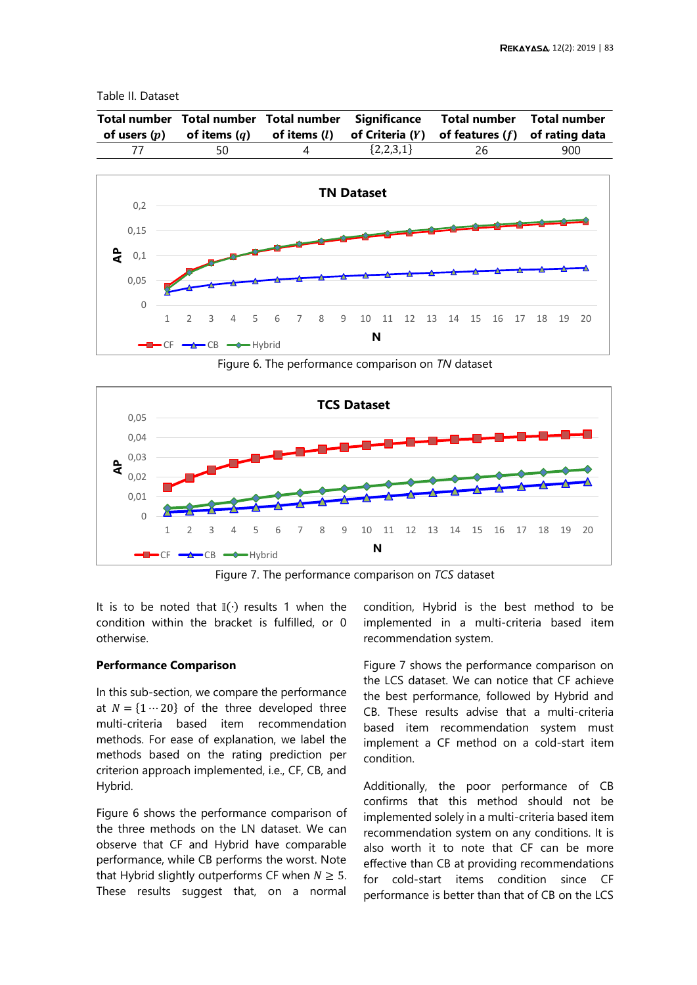## <span id="page-5-0"></span>Table II. Dataset

|    |             | Total number Total number Total number Significance Total number Total number<br>of users $(p)$ of items $(q)$ of items $(l)$ of Criteria $(Y)$ of features $(f)$ of rating data |     |
|----|-------------|----------------------------------------------------------------------------------------------------------------------------------------------------------------------------------|-----|
| 50 | ${2,2,3,1}$ | -26                                                                                                                                                                              | 900 |



Figure 6. The performance comparison on *TN* dataset

<span id="page-5-1"></span>

Figure 7. The performance comparison on *TCS* dataset

<span id="page-5-2"></span>It is to be noted that  $\mathbb{I}(\cdot)$  results 1 when the condition within the bracket is fulfilled, or 0 otherwise.

## **Performance Comparison**

In this sub-section, we compare the performance at  $N = \{1 \cdots 20\}$  of the three developed three multi-criteria based item recommendation methods. For ease of explanation, we label the methods based on the rating prediction per criterion approach implemented, i.e., CF, CB, and Hybrid.

[Figure 6](#page-5-1) shows the performance comparison of the three methods on the LN dataset. We can observe that CF and Hybrid have comparable performance, while CB performs the worst. Note that Hybrid slightly outperforms CF when  $N \geq 5$ . These results suggest that, on a normal condition, Hybrid is the best method to be implemented in a multi-criteria based item recommendation system.

[Figure 7](#page-5-2) shows the performance comparison on the LCS dataset. We can notice that CF achieve the best performance, followed by Hybrid and CB. These results advise that a multi-criteria based item recommendation system must implement a CF method on a cold-start item condition.

Additionally, the poor performance of CB confirms that this method should not be implemented solely in a multi-criteria based item recommendation system on any conditions. It is also worth it to note that CF can be more effective than CB at providing recommendations for cold-start items condition since CF performance is better than that of CB on the LCS